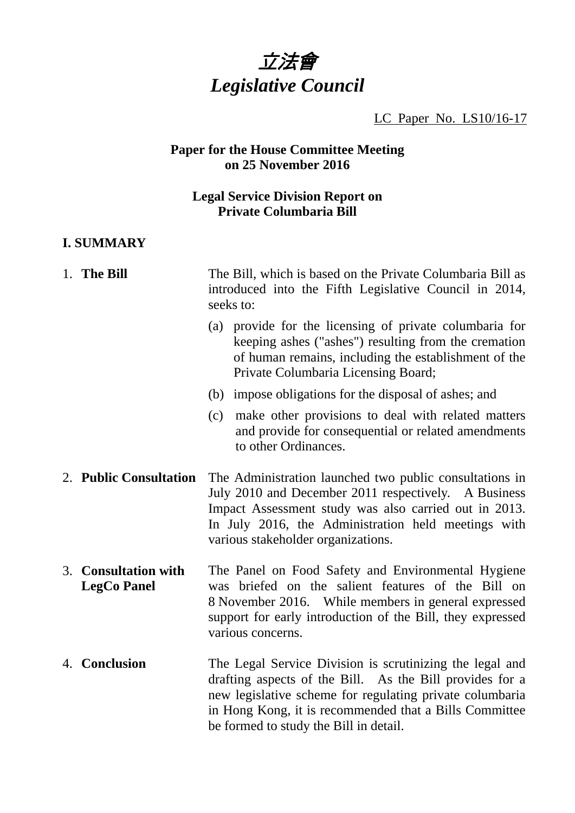

LC Paper No. LS10/16-17

#### **Paper for the House Committee Meeting on 25 November 2016**

### **Legal Service Division Report on Private Columbaria Bill**

# **I. SUMMARY**

| 1. The Bill                                | The Bill, which is based on the Private Columbaria Bill as<br>introduced into the Fifth Legislative Council in 2014,<br>seeks to:                                                                                                                                                    |
|--------------------------------------------|--------------------------------------------------------------------------------------------------------------------------------------------------------------------------------------------------------------------------------------------------------------------------------------|
|                                            | provide for the licensing of private columbaria for<br>(a)<br>keeping ashes ("ashes") resulting from the cremation<br>of human remains, including the establishment of the<br>Private Columbaria Licensing Board;                                                                    |
|                                            | (b) impose obligations for the disposal of ashes; and                                                                                                                                                                                                                                |
|                                            | make other provisions to deal with related matters<br>(c)<br>and provide for consequential or related amendments<br>to other Ordinances.                                                                                                                                             |
| 2. Public Consultation                     | The Administration launched two public consultations in<br>July 2010 and December 2011 respectively. A Business<br>Impact Assessment study was also carried out in 2013.<br>In July 2016, the Administration held meetings with<br>various stakeholder organizations.                |
| 3. Consultation with<br><b>LegCo Panel</b> | The Panel on Food Safety and Environmental Hygiene<br>was briefed on the salient features of the Bill on<br>8 November 2016. While members in general expressed<br>support for early introduction of the Bill, they expressed<br>various concerns.                                   |
| 4. Conclusion                              | The Legal Service Division is scrutinizing the legal and<br>drafting aspects of the Bill. As the Bill provides for a<br>new legislative scheme for regulating private columbaria<br>in Hong Kong, it is recommended that a Bills Committee<br>be formed to study the Bill in detail. |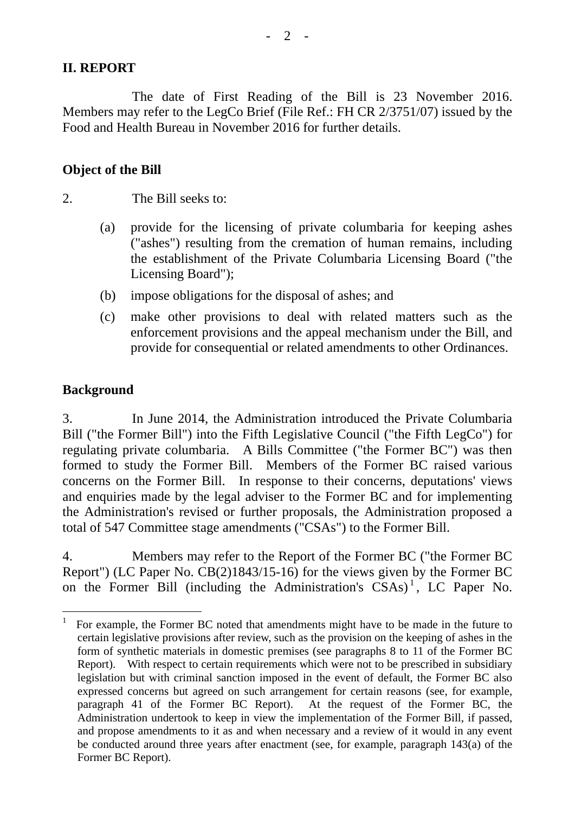#### **II. REPORT**

 The date of First Reading of the Bill is 23 November 2016. Members may refer to the LegCo Brief (File Ref.: FH CR 2/3751/07) issued by the Food and Health Bureau in November 2016 for further details.

#### **Object of the Bill**

2. The Bill seeks to:

- (a) provide for the licensing of private columbaria for keeping ashes ("ashes") resulting from the cremation of human remains, including the establishment of the Private Columbaria Licensing Board ("the Licensing Board");
- (b) impose obligations for the disposal of ashes; and
- (c) make other provisions to deal with related matters such as the enforcement provisions and the appeal mechanism under the Bill, and provide for consequential or related amendments to other Ordinances.

#### **Background**

 $\overline{a}$ 

3. In June 2014, the Administration introduced the Private Columbaria Bill ("the Former Bill") into the Fifth Legislative Council ("the Fifth LegCo") for regulating private columbaria. A Bills Committee ("the Former BC") was then formed to study the Former Bill. Members of the Former BC raised various concerns on the Former Bill. In response to their concerns, deputations' views and enquiries made by the legal adviser to the Former BC and for implementing the Administration's revised or further proposals, the Administration proposed a total of 547 Committee stage amendments ("CSAs") to the Former Bill.

4. Members may refer to the Report of the Former BC ("the Former BC Report") (LC Paper No. CB(2)1843/15-16) for the views given by the Former BC on the Former Bill (including the Administration's  $CSAs$ )<sup>[1](#page-1-0)</sup>, LC Paper No.

<span id="page-1-0"></span><sup>1</sup> For example, the Former BC noted that amendments might have to be made in the future to certain legislative provisions after review, such as the provision on the keeping of ashes in the form of synthetic materials in domestic premises (see paragraphs 8 to 11 of the Former BC Report). With respect to certain requirements which were not to be prescribed in subsidiary legislation but with criminal sanction imposed in the event of default, the Former BC also expressed concerns but agreed on such arrangement for certain reasons (see, for example, paragraph 41 of the Former BC Report). At the request of the Former BC, the Administration undertook to keep in view the implementation of the Former Bill, if passed, and propose amendments to it as and when necessary and a review of it would in any event be conducted around three years after enactment (see, for example, paragraph 143(a) of the Former BC Report).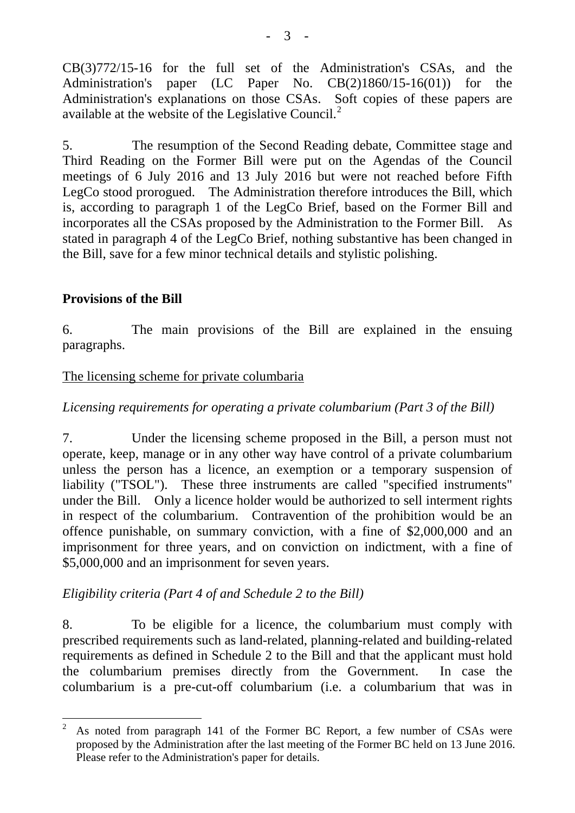CB(3)772/15-16 for the full set of the Administration's CSAs, and the Administration's paper (LC Paper No. CB(2)1860/15-16(01)) for the Administration's explanations on those CSAs. [So](#page-2-0)ft copies of these papers are available at the website of the Legislative Council.<sup>[2](#page-2-0)</sup>

5. The resumption of the Second Reading debate, Committee stage and Third Reading on the Former Bill were put on the Agendas of the Council meetings of 6 July 2016 and 13 July 2016 but were not reached before Fifth LegCo stood prorogued. The Administration therefore introduces the Bill, which is, according to paragraph 1 of the LegCo Brief, based on the Former Bill and incorporates all the CSAs proposed by the Administration to the Former Bill. As stated in paragraph 4 of the LegCo Brief, nothing substantive has been changed in the Bill, save for a few minor technical details and stylistic polishing.

### **Provisions of the Bill**

 $\overline{a}$ 

6. The main provisions of the Bill are explained in the ensuing paragraphs.

#### The licensing scheme for private columbaria

*Licensing requirements for operating a private columbarium (Part 3 of the Bill)* 

7. Under the licensing scheme proposed in the Bill, a person must not operate, keep, manage or in any other way have control of a private columbarium unless the person has a licence, an exemption or a temporary suspension of liability ("TSOL"). These three instruments are called "specified instruments" under the Bill. Only a licence holder would be authorized to sell interment rights in respect of the columbarium. Contravention of the prohibition would be an offence punishable, on summary conviction, with a fine of \$2,000,000 and an imprisonment for three years, and on conviction on indictment, with a fine of \$5,000,000 and an imprisonment for seven years.

## *Eligibility criteria (Part 4 of and Schedule 2 to the Bill)*

8. To be eligible for a licence, the columbarium must comply with prescribed requirements such as land-related, planning-related and building-related requirements as defined in Schedule 2 to the Bill and that the applicant must hold the columbarium premises directly from the Government. In case the columbarium is a pre-cut-off columbarium (i.e. a columbarium that was in

<span id="page-2-0"></span><sup>2</sup> As noted from paragraph 141 of the Former BC Report, a few number of CSAs were proposed by the Administration after the last meeting of the Former BC held on 13 June 2016. Please refer to the Administration's paper for details.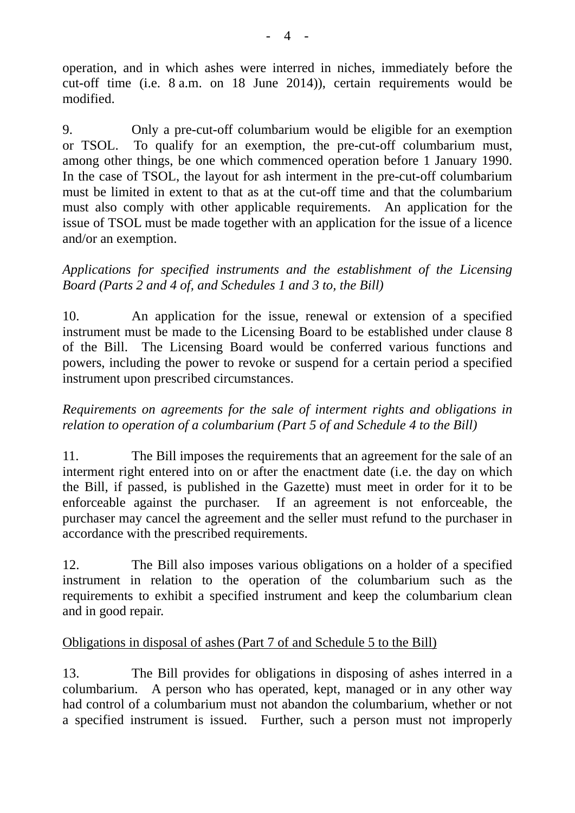operation, and in which ashes were interred in niches, immediately before the cut-off time (i.e. 8 a.m. on 18 June 2014)), certain requirements would be modified.

9. Only a pre-cut-off columbarium would be eligible for an exemption or TSOL. To qualify for an exemption, the pre-cut-off columbarium must, among other things, be one which commenced operation before 1 January 1990. In the case of TSOL, the layout for ash interment in the pre-cut-off columbarium must be limited in extent to that as at the cut-off time and that the columbarium must also comply with other applicable requirements. An application for the issue of TSOL must be made together with an application for the issue of a licence and/or an exemption.

### *Applications for specified instruments and the establishment of the Licensing Board (Parts 2 and 4 of, and Schedules 1 and 3 to, the Bill)*

10. An application for the issue, renewal or extension of a specified instrument must be made to the Licensing Board to be established under clause 8 of the Bill. The Licensing Board would be conferred various functions and powers, including the power to revoke or suspend for a certain period a specified instrument upon prescribed circumstances.

### *Requirements on agreements for the sale of interment rights and obligations in relation to operation of a columbarium (Part 5 of and Schedule 4 to the Bill)*

11. The Bill imposes the requirements that an agreement for the sale of an interment right entered into on or after the enactment date (i.e. the day on which the Bill, if passed, is published in the Gazette) must meet in order for it to be enforceable against the purchaser. If an agreement is not enforceable, the purchaser may cancel the agreement and the seller must refund to the purchaser in accordance with the prescribed requirements.

12. The Bill also imposes various obligations on a holder of a specified instrument in relation to the operation of the columbarium such as the requirements to exhibit a specified instrument and keep the columbarium clean and in good repair.

## Obligations in disposal of ashes (Part 7 of and Schedule 5 to the Bill)

13. The Bill provides for obligations in disposing of ashes interred in a columbarium. A person who has operated, kept, managed or in any other way had control of a columbarium must not abandon the columbarium, whether or not a specified instrument is issued. Further, such a person must not improperly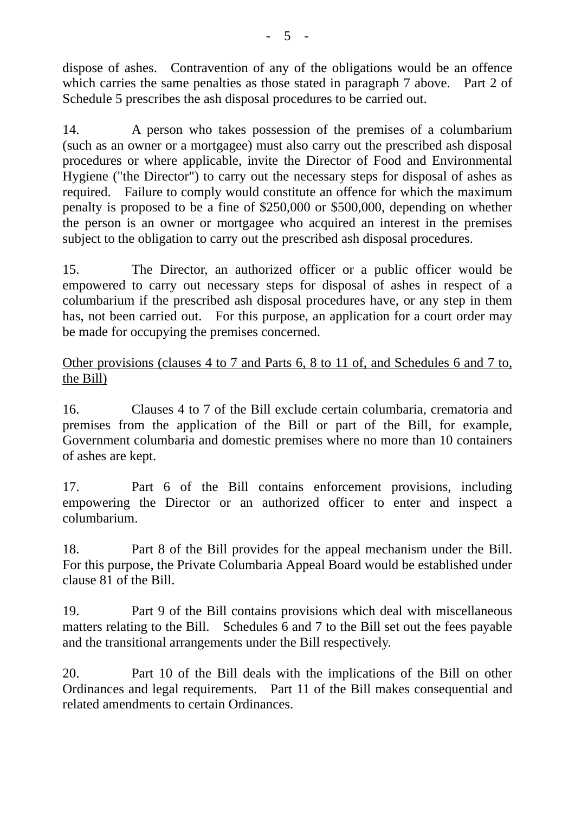dispose of ashes. Contravention of any of the obligations would be an offence which carries the same penalties as those stated in paragraph 7 above. Part 2 of Schedule 5 prescribes the ash disposal procedures to be carried out.

14. A person who takes possession of the premises of a columbarium (such as an owner or a mortgagee) must also carry out the prescribed ash disposal procedures or where applicable, invite the Director of Food and Environmental Hygiene ("the Director") to carry out the necessary steps for disposal of ashes as required. Failure to comply would constitute an offence for which the maximum penalty is proposed to be a fine of \$250,000 or \$500,000, depending on whether the person is an owner or mortgagee who acquired an interest in the premises subject to the obligation to carry out the prescribed ash disposal procedures.

15. The Director, an authorized officer or a public officer would be empowered to carry out necessary steps for disposal of ashes in respect of a columbarium if the prescribed ash disposal procedures have, or any step in them has, not been carried out. For this purpose, an application for a court order may be made for occupying the premises concerned.

### Other provisions (clauses 4 to 7 and Parts 6, 8 to 11 of, and Schedules 6 and 7 to, the Bill)

16. Clauses 4 to 7 of the Bill exclude certain columbaria, crematoria and premises from the application of the Bill or part of the Bill, for example, Government columbaria and domestic premises where no more than 10 containers of ashes are kept.

17. Part 6 of the Bill contains enforcement provisions, including empowering the Director or an authorized officer to enter and inspect a columbarium.

18. Part 8 of the Bill provides for the appeal mechanism under the Bill. For this purpose, the Private Columbaria Appeal Board would be established under clause 81 of the Bill.

19. Part 9 of the Bill contains provisions which deal with miscellaneous matters relating to the Bill. Schedules 6 and 7 to the Bill set out the fees payable and the transitional arrangements under the Bill respectively.

20. Part 10 of the Bill deals with the implications of the Bill on other Ordinances and legal requirements. Part 11 of the Bill makes consequential and related amendments to certain Ordinances.